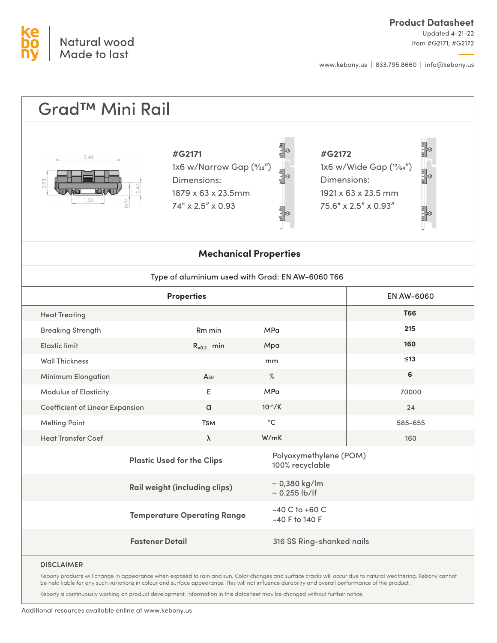

Updated 4-21-22 Item #G2171, #G2172

www.kebony.us | 833.795.8660 | info@kebony.us

#### Grad™ Mini Rail **#G2171 #G2172** 2.48 1x6 w/Narrow Gap (5/32") 1x6 w/Wide Gap (17⁄64") Dimensions: Dimensions: 1879 x 63 x 23.5mm 1921 x 63 x 23.5 mm 74" x 2.5" x 0.93 75.6" x 2.5" x 0.93" **Mechanical Properties** Type of aluminium used with Grad: EN AW-6060 T66 **Properties** EN AW-6060 **T66** Heat Treating **215** Breaking Strength Rm min MPa **160** Elastic limit  $R_{e0.2}$  min Mpa **≤13** Wall Thickness mm **6** % Minimum Elongation A<sub>50</sub> Modulus of Elasticity E MPa 70000 **Coefficient of Linear Expansion** α 10-6/K 24  $^{\circ}C$ **T**s<sub>M</sub> Melting Point 585-655 Heat Transfer Coef λ W/mK 160 Polyoxymethylene (POM) **Plastic Used for the Clips** 100% recyclable  $\sim$  0,380 kg/lm **Rail weight (including clips)**  $\sim$  0.255 lb/lf -40 C to +60 C **Temperature Operating Range** -40 F to 140 F**Fastener Detail** 316 SS Ring-shanked nails **DISCLAIMER**

Kebony products will change in appearance when exposed to rain and sun. Color changes and surface cracks will occur due to natural weathering. Kebony cannot be held liable for any such variations in colour and surface appearance. This will not influence durability and overall performance of the product.

Kebony is continuously working on product development. Information in this datasheet may be changed without further notice.